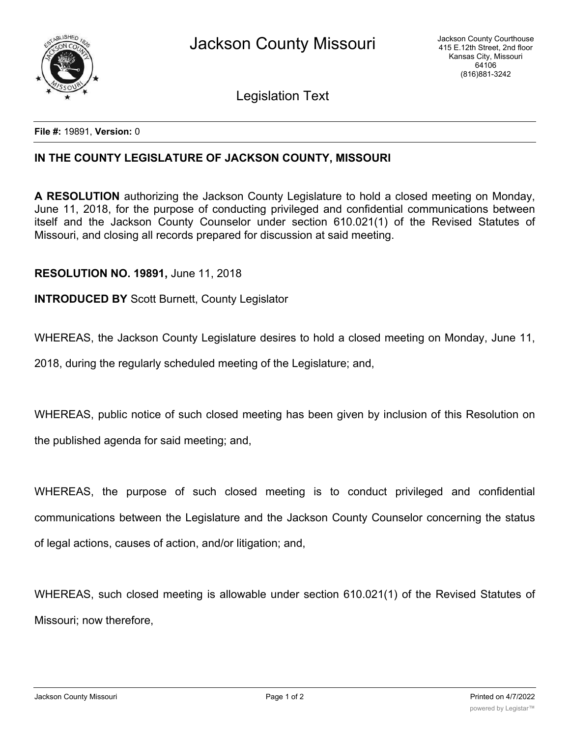

Legislation Text

**File #:** 19891, **Version:** 0

## **IN THE COUNTY LEGISLATURE OF JACKSON COUNTY, MISSOURI**

**A RESOLUTION** authorizing the Jackson County Legislature to hold a closed meeting on Monday, June 11, 2018, for the purpose of conducting privileged and confidential communications between itself and the Jackson County Counselor under section 610.021(1) of the Revised Statutes of Missouri, and closing all records prepared for discussion at said meeting.

## **RESOLUTION NO. 19891,** June 11, 2018

## **INTRODUCED BY** Scott Burnett, County Legislator

WHEREAS, the Jackson County Legislature desires to hold a closed meeting on Monday, June 11,

2018, during the regularly scheduled meeting of the Legislature; and,

WHEREAS, public notice of such closed meeting has been given by inclusion of this Resolution on the published agenda for said meeting; and,

WHEREAS, the purpose of such closed meeting is to conduct privileged and confidential communications between the Legislature and the Jackson County Counselor concerning the status of legal actions, causes of action, and/or litigation; and,

WHEREAS, such closed meeting is allowable under section 610.021(1) of the Revised Statutes of Missouri; now therefore,